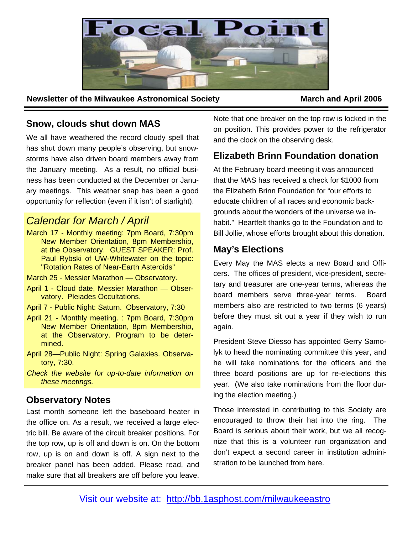

**Newsletter of the Milwaukee Astronomical Society <b>March and April 2006 March and April 2006** 

## **Snow, clouds shut down MAS**

We all have weathered the record cloudy spell that has shut down many people's observing, but snowstorms have also driven board members away from the January meeting. As a result, no official business has been conducted at the December or January meetings. This weather snap has been a good opportunity for reflection (even if it isn't of starlight).

# *Calendar for March / April*

March 17 - Monthly meeting: 7pm Board, 7:30pm New Member Orientation, 8pm Membership, at the Observatory. GUEST SPEAKER: Prof. Paul Rybski of UW-Whitewater on the topic: "Rotation Rates of Near-Earth Asteroids"

March 25 - Messier Marathon — Observatory.

- April 1 Cloud date, Messier Marathon Observatory. Pleiades Occultations.
- April 7 Public Night: Saturn. Observatory, 7:30
- April 21 Monthly meeting. : 7pm Board, 7:30pm New Member Orientation, 8pm Membership, at the Observatory. Program to be determined.
- April 28—Public Night: Spring Galaxies. Observatory, 7:30.
- *Check the website for up-to-date information on these meetings.*

### **Observatory Notes**

Last month someone left the baseboard heater in the office on. As a result, we received a large electric bill. Be aware of the circuit breaker positions. For the top row, up is off and down is on. On the bottom row, up is on and down is off. A sign next to the breaker panel has been added. Please read, and make sure that all breakers are off before you leave. Note that one breaker on the top row is locked in the on position. This provides power to the refrigerator and the clock on the observing desk.

## **Elizabeth Brinn Foundation donation**

At the February board meeting it was announced that the MAS has received a check for \$1000 from the Elizabeth Brinn Foundation for "our efforts to educate children of all races and economic backgrounds about the wonders of the universe we inhabit." Heartfelt thanks go to the Foundation and to Bill Jollie, whose efforts brought about this donation.

### **May's Elections**

Every May the MAS elects a new Board and Officers. The offices of president, vice-president, secretary and treasurer are one-year terms, whereas the board members serve three-year terms. Board members also are restricted to two terms (6 years) before they must sit out a year if they wish to run again.

President Steve Diesso has appointed Gerry Samolyk to head the nominating committee this year, and he will take nominations for the officers and the three board positions are up for re-elections this year. (We also take nominations from the floor during the election meeting.)

Those interested in contributing to this Society are encouraged to throw their hat into the ring. The Board is serious about their work, but we all recognize that this is a volunteer run organization and don't expect a second career in institution administration to be launched from here.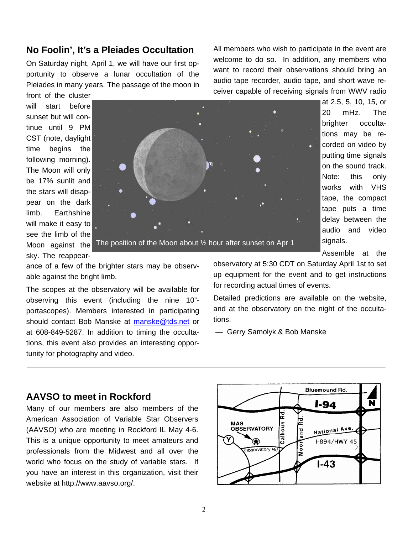### **No Foolin', It's a Pleiades Occultation**

On Saturday night, April 1, we will have our first opportunity to observe a lunar occultation of the Pleiades in many years. The passage of the moon in All members who wish to participate in the event are welcome to do so. In addition, any members who want to record their observations should bring an audio tape recorder, audio tape, and short wave receiver capable of receiving signals from WWV radio

front of the cluster will start before sunset but will continue until 9 PM CST (note, daylight time begins the following morning). The Moon will only be 17% sunlit and the stars will disappear on the dark limb. Earthshine will make it easy to see the limb of the Moon against the The position of the Moon about 1/2 hour after sunset on Apr 1 sky. The reappear-

able against the bright limb.

20 mHz. The brighter occultations may be recorded on video by putting time signals on the sound track. Note: this only works with VHS tape, the compact tape puts a time delay between the audio and video signals.

Assemble at the

observatory at 5:30 CDT on Saturday April 1st to set up equipment for the event and to get instructions for recording actual times of events.

Detailed predictions are available on the website, and at the observatory on the night of the occultations.

— Gerry Samolyk & Bob Manske

#### **AAVSO to meet in Rockford**

tunity for photography and video.

Many of our members are also members of the American Association of Variable Star Observers (AAVSO) who are meeting in Rockford IL May 4-6. This is a unique opportunity to meet amateurs and professionals from the Midwest and all over the world who focus on the study of variable stars. If you have an interest in this organization, visit their website at http://www.aavso.org/.

ance of a few of the brighter stars may be observ-

The scopes at the observatory will be available for observing this event (including the nine 10" portascopes). Members interested in participating should contact Bob Manske at manske@tds.net or at 608-849-5287. In addition to timing the occultations, this event also provides an interesting oppor-



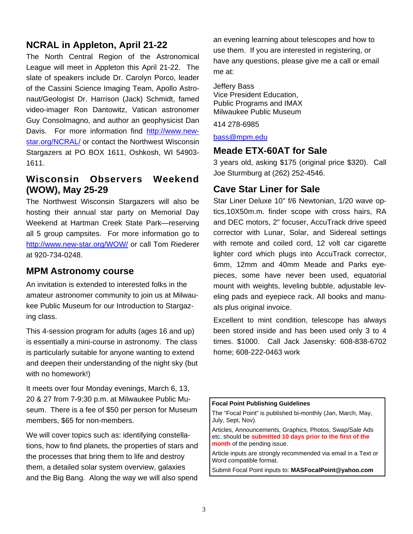## **NCRAL in Appleton, April 21-22**

The North Central Region of the Astronomical League will meet in Appleton this April 21-22. The slate of speakers include Dr. Carolyn Porco, leader of the Cassini Science Imaging Team, Apollo Astronaut/Geologist Dr. Harrison (Jack) Schmidt, famed video-imager Ron Dantowitz, Vatican astronomer Guy Consolmagno, and author an geophysicist Dan Davis. For more information find http://www.newstar.org/NCRAL/ or contact the Northwest Wisconsin Stargazers at PO BOX 1611, Oshkosh, WI 54903- 1611.

### **Wisconsin Observers Weekend (WOW), May 25-29**

The Northwest Wisconsin Stargazers will also be hosting their annual star party on Memorial Day Weekend at Hartman Creek State Park—reserving all 5 group campsites. For more information go to http://www.new-star.org/WOW/ or call Tom Riederer at 920-734-0248.

### **MPM Astronomy course**

An invitation is extended to interested folks in the amateur astronomer community to join us at Milwaukee Public Museum for our Introduction to Stargazing class.

This 4-session program for adults (ages 16 and up) is essentially a mini-course in astronomy. The class is particularly suitable for anyone wanting to extend and deepen their understanding of the night sky (but with no homework!)

It meets over four Monday evenings, March 6, 13, 20 & 27 from 7-9:30 p.m. at Milwaukee Public Museum. There is a fee of \$50 per person for Museum members, \$65 for non-members.

We will cover topics such as: identifying constellations, how to find planets, the properties of stars and the processes that bring them to life and destroy them, a detailed solar system overview, galaxies and the Big Bang. Along the way we will also spend

an evening learning about telescopes and how to use them. If you are interested in registering, or have any questions, please give me a call or email me at:

Jeffery Bass Vice President Education, Public Programs and IMAX Milwaukee Public Museum

414 278-6985

bass@mpm.edu

## **Meade ETX-60AT for Sale**

3 years old, asking \$175 (original price \$320). Call Joe Sturmburg at (262) 252-4546.

## **Cave Star Liner for Sale**

Star Liner Deluxe 10" f/6 Newtonian, 1/20 wave optics,10X50m.m. finder scope with cross hairs, RA and DEC motors, 2" focuser, AccuTrack drive speed corrector with Lunar, Solar, and Sidereal settings with remote and coiled cord, 12 volt car cigarette lighter cord which plugs into AccuTrack corrector, 6mm, 12mm and 40mm Meade and Parks eyepieces, some have never been used, equatorial mount with weights, leveling bubble, adjustable leveling pads and eyepiece rack. All books and manuals plus original invoice.

Excellent to mint condition, telescope has always been stored inside and has been used only 3 to 4 times. \$1000. Call Jack Jasensky: 608-838-6702 home; 608-222-0463 work

#### **Focal Point Publishing Guidelines**

The "Focal Point" is published bi-monthly (Jan, March, May, July, Sept, Nov).

Articles, Announcements, Graphics, Photos, Swap/Sale Ads etc. should be **submitted 10 days prior to the first of the month** of the pending issue.

Article inputs are strongly recommended via email in a Text or Word compatible format.

Submit Focal Point inputs to: **MASFocalPoint@yahoo.com**